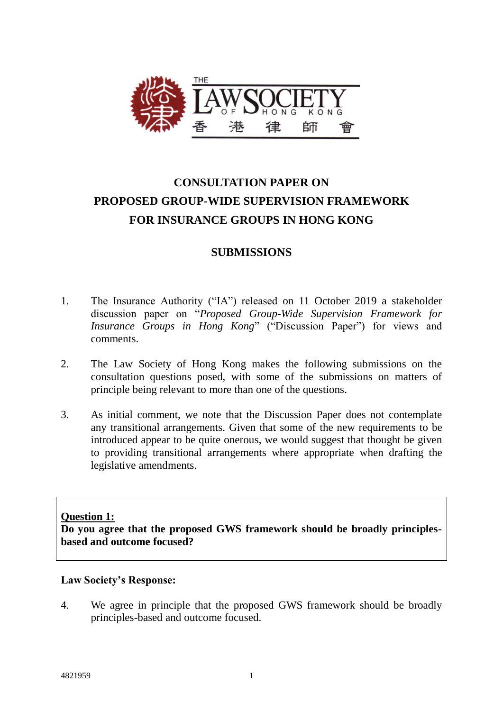

# **CONSULTATION PAPER ON PROPOSED GROUP-WIDE SUPERVISION FRAMEWORK FOR INSURANCE GROUPS IN HONG KONG**

# **SUBMISSIONS**

- 1. The Insurance Authority ("IA") released on 11 October 2019 a stakeholder discussion paper on "*Proposed Group-Wide Supervision Framework for Insurance Groups in Hong Kong*" ("Discussion Paper") for views and comments.
- 2. The Law Society of Hong Kong makes the following submissions on the consultation questions posed, with some of the submissions on matters of principle being relevant to more than one of the questions.
- 3. As initial comment, we note that the Discussion Paper does not contemplate any transitional arrangements. Given that some of the new requirements to be introduced appear to be quite onerous, we would suggest that thought be given to providing transitional arrangements where appropriate when drafting the legislative amendments.

# **Question 1:**

**Do you agree that the proposed GWS framework should be broadly principlesbased and outcome focused?**

#### **Law Society's Response:**

4. We agree in principle that the proposed GWS framework should be broadly principles-based and outcome focused.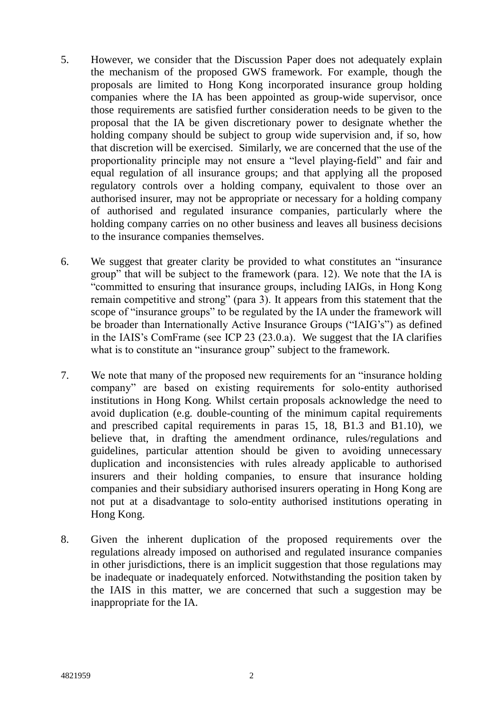- 5. However, we consider that the Discussion Paper does not adequately explain the mechanism of the proposed GWS framework. For example, though the proposals are limited to Hong Kong incorporated insurance group holding companies where the IA has been appointed as group-wide supervisor, once those requirements are satisfied further consideration needs to be given to the proposal that the IA be given discretionary power to designate whether the holding company should be subject to group wide supervision and, if so, how that discretion will be exercised. Similarly, we are concerned that the use of the proportionality principle may not ensure a "level playing-field" and fair and equal regulation of all insurance groups; and that applying all the proposed regulatory controls over a holding company, equivalent to those over an authorised insurer, may not be appropriate or necessary for a holding company of authorised and regulated insurance companies, particularly where the holding company carries on no other business and leaves all business decisions to the insurance companies themselves.
- 6. We suggest that greater clarity be provided to what constitutes an "insurance group" that will be subject to the framework (para. 12). We note that the IA is "committed to ensuring that insurance groups, including IAIGs, in Hong Kong remain competitive and strong" (para 3). It appears from this statement that the scope of "insurance groups" to be regulated by the IA under the framework will be broader than Internationally Active Insurance Groups ("IAIG's") as defined in the IAIS's ComFrame (see ICP 23 (23.0.a). We suggest that the IA clarifies what is to constitute an "insurance group" subject to the framework.
- 7. We note that many of the proposed new requirements for an "insurance holding company" are based on existing requirements for solo-entity authorised institutions in Hong Kong. Whilst certain proposals acknowledge the need to avoid duplication (e.g. double-counting of the minimum capital requirements and prescribed capital requirements in paras 15, 18, B1.3 and B1.10), we believe that, in drafting the amendment ordinance, rules/regulations and guidelines, particular attention should be given to avoiding unnecessary duplication and inconsistencies with rules already applicable to authorised insurers and their holding companies, to ensure that insurance holding companies and their subsidiary authorised insurers operating in Hong Kong are not put at a disadvantage to solo-entity authorised institutions operating in Hong Kong.
- 8. Given the inherent duplication of the proposed requirements over the regulations already imposed on authorised and regulated insurance companies in other jurisdictions, there is an implicit suggestion that those regulations may be inadequate or inadequately enforced. Notwithstanding the position taken by the IAIS in this matter, we are concerned that such a suggestion may be inappropriate for the IA.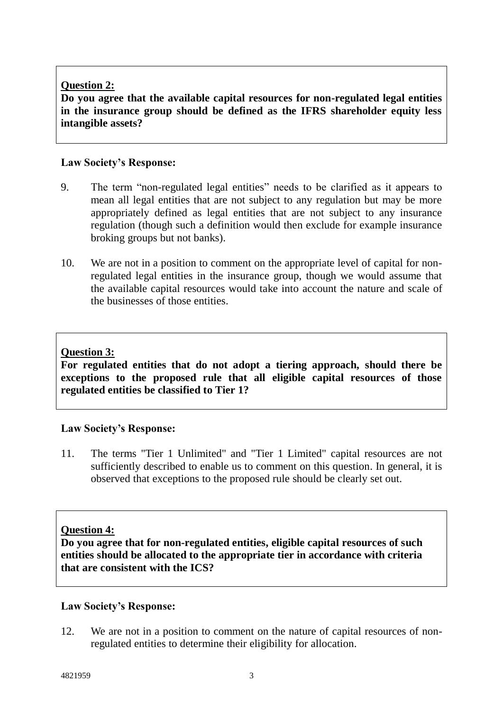# **Question 2:**

**Do you agree that the available capital resources for non-regulated legal entities in the insurance group should be defined as the IFRS shareholder equity less intangible assets?**

# **Law Society's Response:**

- 9. The term "non-regulated legal entities" needs to be clarified as it appears to mean all legal entities that are not subject to any regulation but may be more appropriately defined as legal entities that are not subject to any insurance regulation (though such a definition would then exclude for example insurance broking groups but not banks).
- 10. We are not in a position to comment on the appropriate level of capital for nonregulated legal entities in the insurance group, though we would assume that the available capital resources would take into account the nature and scale of the businesses of those entities.

# **Question 3:**

**For regulated entities that do not adopt a tiering approach, should there be exceptions to the proposed rule that all eligible capital resources of those regulated entities be classified to Tier 1?**

# **Law Society's Response:**

11. The terms "Tier 1 Unlimited" and "Tier 1 Limited" capital resources are not sufficiently described to enable us to comment on this question. In general, it is observed that exceptions to the proposed rule should be clearly set out.

# **Question 4:**

**Do you agree that for non-regulated entities, eligible capital resources of such entities should be allocated to the appropriate tier in accordance with criteria that are consistent with the ICS?**

# **Law Society's Response:**

12. We are not in a position to comment on the nature of capital resources of nonregulated entities to determine their eligibility for allocation.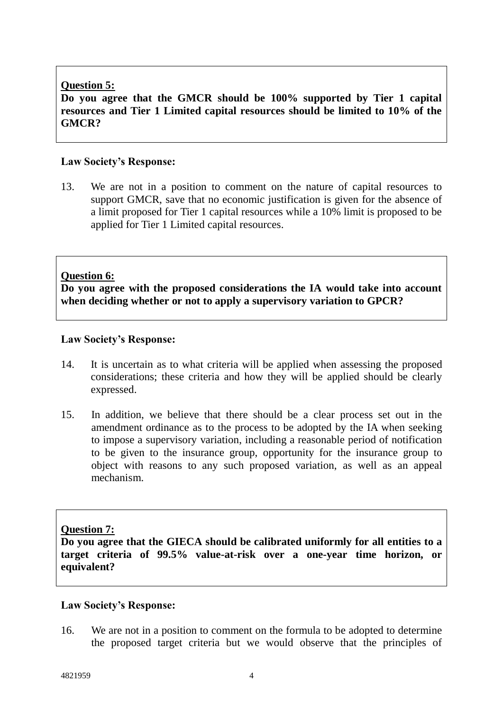# **Question 5:**

**Do you agree that the GMCR should be 100% supported by Tier 1 capital resources and Tier 1 Limited capital resources should be limited to 10% of the GMCR?**

# **Law Society's Response:**

13. We are not in a position to comment on the nature of capital resources to support GMCR, save that no economic justification is given for the absence of a limit proposed for Tier 1 capital resources while a 10% limit is proposed to be applied for Tier 1 Limited capital resources.

# **Question 6:**

**Do you agree with the proposed considerations the IA would take into account when deciding whether or not to apply a supervisory variation to GPCR?**

# **Law Society's Response:**

- 14. It is uncertain as to what criteria will be applied when assessing the proposed considerations; these criteria and how they will be applied should be clearly expressed.
- 15. In addition, we believe that there should be a clear process set out in the amendment ordinance as to the process to be adopted by the IA when seeking to impose a supervisory variation, including a reasonable period of notification to be given to the insurance group, opportunity for the insurance group to object with reasons to any such proposed variation, as well as an appeal mechanism.

# **Question 7:**

**Do you agree that the GIECA should be calibrated uniformly for all entities to a target criteria of 99.5% value-at-risk over a one-year time horizon, or equivalent?**

#### **Law Society's Response:**

16. We are not in a position to comment on the formula to be adopted to determine the proposed target criteria but we would observe that the principles of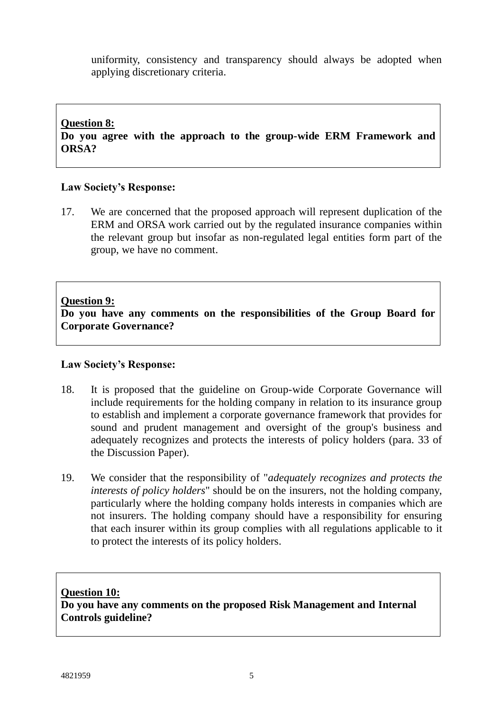uniformity, consistency and transparency should always be adopted when applying discretionary criteria.

#### **Question 8:**

**Do you agree with the approach to the group-wide ERM Framework and ORSA?**

#### **Law Society's Response:**

17. We are concerned that the proposed approach will represent duplication of the ERM and ORSA work carried out by the regulated insurance companies within the relevant group but insofar as non-regulated legal entities form part of the group, we have no comment.

#### **Question 9:**

**Do you have any comments on the responsibilities of the Group Board for Corporate Governance?**

#### **Law Society's Response:**

- 18. It is proposed that the guideline on Group-wide Corporate Governance will include requirements for the holding company in relation to its insurance group to establish and implement a corporate governance framework that provides for sound and prudent management and oversight of the group's business and adequately recognizes and protects the interests of policy holders (para. 33 of the Discussion Paper).
- 19. We consider that the responsibility of "*adequately recognizes and protects the interests of policy holders*" should be on the insurers, not the holding company, particularly where the holding company holds interests in companies which are not insurers. The holding company should have a responsibility for ensuring that each insurer within its group complies with all regulations applicable to it to protect the interests of its policy holders.

#### **Question 10:**

**Do you have any comments on the proposed Risk Management and Internal Controls guideline?**